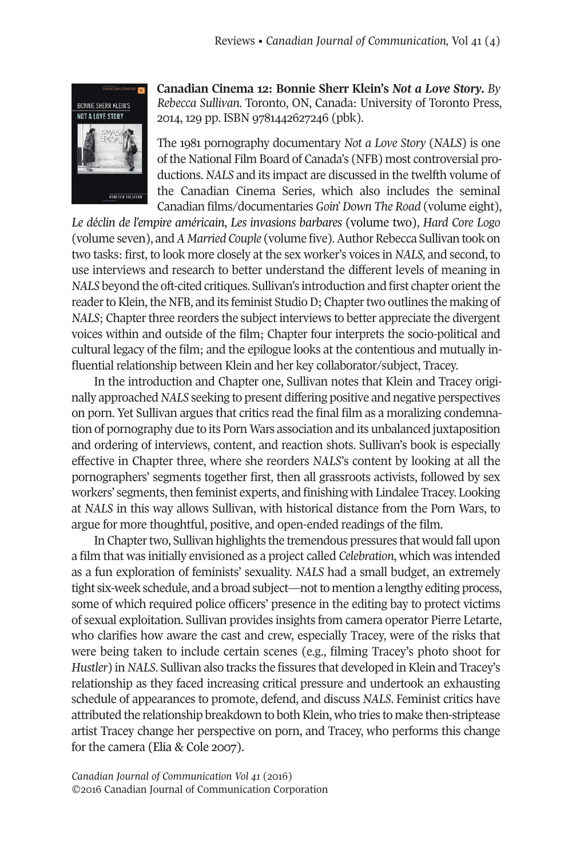

**Canadian Cinema 12: Bonnie Sherr Klein's** *Not a Love Story***.** *By Rebecca Sullivan*. Toronto, ON, Canada: University of Toronto Press, 2014, 129 pp. ISBN 9781442627246 (pbk).

The 1981 pornography documentary *Not a Love Story* (*NALS*) is one ofthe National Film Board of Canada's (NFB) most controversial productions. *NALS* and its impact are discussed in the twelfth volume of the Canadian Cinema Series, which also includes the seminal Canadian films/documentaries *Goin' Down The Road* (volume eight),

*Le déclin de l'empire américain*, *Les invasions barbares* (volume two), *Hard Core Logo* (volume seven), and *A Married Couple* (volume five). Author Rebecca Sullivan took on two tasks: first, to look more closely at the sex worker's voices in *NALS,* and second, to use interviews and research to better understand the different levels of meaning in *NALS* beyond the oft-cited critiques. Sullivan's introduction and first chapter orient the reader to Klein, the NFB, and its feminist Studio D; Chapter two outlines the making of *NALS*; Chapter three reorders the subject interviews to better appreciate the divergent voices within and outside of the film; Chapter four interprets the socio-political and cultural legacy of the film; and the epilogue looks at the contentious and mutually influential relationship between Klein and her key collaborator/subject, Tracey.

In the introduction and Chapter one, Sullivan notes that Klein and Tracey originally approached*NALS* seeking to present differing positive and negative perspectives on porn. Yet Sullivan argues that critics read the final film as a moralizing condemnation of pornography due to its Porn Wars association and its unbalanced juxtaposition and ordering of interviews, content, and reaction shots. Sullivan's book is especially effective in Chapter three, where she reorders *NALS*'s content by looking at all the pornographers' segments together first, then all grassroots activists, followed by sex workers' segments, then feminist experts, and finishing with Lindalee Tracey. Looking at *NALS* in this way allows Sullivan, with historical distance from the Porn Wars, to argue for more thoughtful, positive, and open-ended readings of the film.

In Chapter two, Sullivan highlights the tremendous pressures that would fall upon a film that was initially envisioned as a project called *Celebration*, which was intended as a fun exploration of feminists' sexuality. *NALS* had a small budget, an extremely tight six-week schedule, and a broad subject—not to mention a lengthy editing process, some of which required police officers' presence in the editing bay to protect victims of sexual exploitation. Sullivan provides insights from camera operator Pierre Letarte, who clarifies how aware the cast and crew, especially Tracey, were of the risks that were being taken to include certain scenes (e.g., filming Tracey's photo shoot for *Hustler*) in *NALS*. Sullivan also tracks the fissures that developed in Klein and Tracey's relationship as they faced increasing critical pressure and undertook an exhausting schedule of appearances to promote, defend, and discuss *NALS*. Feminist critics have attributed the relationship breakdown to both Klein, who tries to make then-striptease artist Tracey change her perspective on porn, and Tracey, who performs this change for the camera (Elia & Cole 2007).

*Canadian Journal of [Communication](http://www.cjc-online.ca) Vol 41* (2016) ©2016 Canadian Journal of Communication Corporation